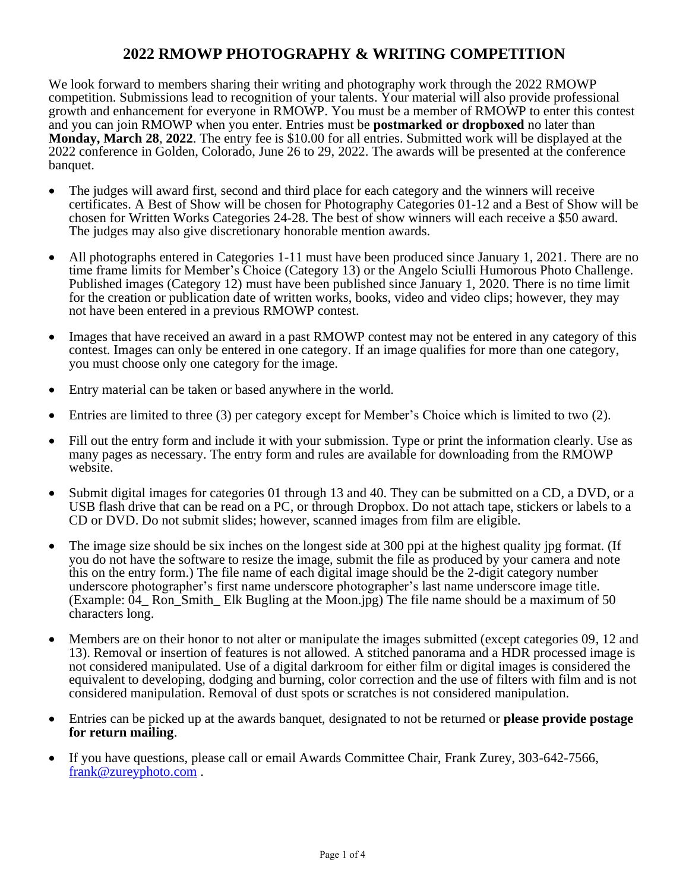# **2022 RMOWP PHOTOGRAPHY & WRITING COMPETITION**

We look forward to members sharing their writing and photography work through the 2022 RMOWP competition. Submissions lead to recognition of your talents. Your material will also provide professional growth and enhancement for everyone in RMOWP. You must be a member of RMOWP to enter this contest and you can join RMOWP when you enter. Entries must be **postmarked or dropboxed** no later than **Monday, March 28**, **2022**. The entry fee is \$10.00 for all entries. Submitted work will be displayed at the 2022 conference in Golden, Colorado, June 26 to 29, 2022. The awards will be presented at the conference banquet.

- The judges will award first, second and third place for each category and the winners will receive certificates. A Best of Show will be chosen for Photography Categories 01-12 and a Best of Show will be chosen for Written Works Categories 24-28. The best of show winners will each receive a \$50 award. The judges may also give discretionary honorable mention awards.
- All photographs entered in Categories 1-11 must have been produced since January 1, 2021. There are no time frame limits for Member's Choice (Category 13) or the Angelo Sciulli Humorous Photo Challenge. Published images (Category 12) must have been published since January 1, 2020. There is no time limit for the creation or publication date of written works, books, video and video clips; however, they may not have been entered in a previous RMOWP contest.
- Images that have received an award in a past RMOWP contest may not be entered in any category of this contest. Images can only be entered in one category. If an image qualifies for more than one category, you must choose only one category for the image.
- Entry material can be taken or based anywhere in the world.
- Entries are limited to three (3) per category except for Member's Choice which is limited to two (2).
- Fill out the entry form and include it with your submission. Type or print the information clearly. Use as many pages as necessary. The entry form and rules are available for downloading from the RMOWP website.
- Submit digital images for categories 01 through 13 and 40. They can be submitted on a CD, a DVD, or a USB flash drive that can be read on a PC, or through Dropbox. Do not attach tape, stickers or labels to a CD or DVD. Do not submit slides; however, scanned images from film are eligible.
- The image size should be six inches on the longest side at 300 ppi at the highest quality jpg format. (If you do not have the software to resize the image, submit the file as produced by your camera and note this on the entry form.) The file name of each digital image should be the 2-digit category number underscore photographer's first name underscore photographer's last name underscore image title. (Example: 04\_ Ron\_Smith\_ Elk Bugling at the Moon.jpg) The file name should be a maximum of 50 characters long.
- Members are on their honor to not alter or manipulate the images submitted (except categories 09, 12 and 13). Removal or insertion of features is not allowed. A stitched panorama and a HDR processed image is not considered manipulated. Use of a digital darkroom for either film or digital images is considered the equivalent to developing, dodging and burning, color correction and the use of filters with film and is not considered manipulation. Removal of dust spots or scratches is not considered manipulation.
- Entries can be picked up at the awards banquet, designated to not be returned or **please provide postage for return mailing**.
- If you have questions, please call or email Awards Committee Chair, Frank Zurey, 303-642-7566, [frank@zureyphoto.com](mailto:frank@zureyphoto.com).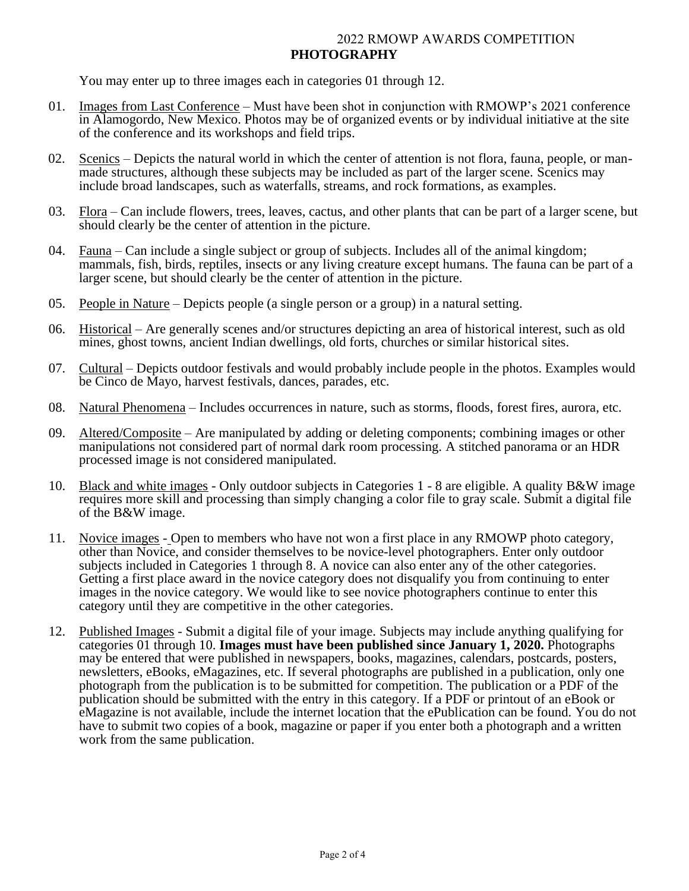## 2022 RMOWP AWARDS COMPETITION **PHOTOGRAPHY**

You may enter up to three images each in categories 01 through 12.

- 01. Images from Last Conference Must have been shot in conjunction with RMOWP's 2021 conference in Alamogordo, New Mexico. Photos may be of organized events or by individual initiative at the site of the conference and its workshops and field trips.
- 02. Scenics Depicts the natural world in which the center of attention is not flora, fauna, people, or manmade structures, although these subjects may be included as part of the larger scene. Scenics may include broad landscapes, such as waterfalls, streams, and rock formations, as examples.
- 03. Flora Can include flowers, trees, leaves, cactus, and other plants that can be part of a larger scene, but should clearly be the center of attention in the picture.
- 04. Fauna Can include a single subject or group of subjects. Includes all of the animal kingdom; mammals, fish, birds, reptiles, insects or any living creature except humans. The fauna can be part of a larger scene, but should clearly be the center of attention in the picture.
- 05. People in Nature Depicts people (a single person or a group) in a natural setting.
- 06. Historical Are generally scenes and/or structures depicting an area of historical interest, such as old mines, ghost towns, ancient Indian dwellings, old forts, churches or similar historical sites.
- 07. Cultural Depicts outdoor festivals and would probably include people in the photos. Examples would be Cinco de Mayo, harvest festivals, dances, parades, etc.
- 08. Natural Phenomena Includes occurrences in nature, such as storms, floods, forest fires, aurora, etc.
- 09. Altered/Composite Are manipulated by adding or deleting components; combining images or other manipulations not considered part of normal dark room processing. A stitched panorama or an HDR processed image is not considered manipulated.
- 10. Black and white images Only outdoor subjects in Categories 1 8 are eligible. A quality B&W image requires more skill and processing than simply changing a color file to gray scale. Submit a digital file of the B&W image.
- 11. Novice images Open to members who have not won a first place in any RMOWP photo category, other than Novice, and consider themselves to be novice-level photographers. Enter only outdoor subjects included in Categories 1 through 8. A novice can also enter any of the other categories. Getting a first place award in the novice category does not disqualify you from continuing to enter images in the novice category. We would like to see novice photographers continue to enter this category until they are competitive in the other categories.
- 12. Published Images Submit a digital file of your image. Subjects may include anything qualifying for categories 01 through 10. **Images must have been published since January 1, 2020.** Photographs may be entered that were published in newspapers, books, magazines, calendars, postcards, posters, newsletters, eBooks, eMagazines, etc. If several photographs are published in a publication, only one photograph from the publication is to be submitted for competition. The publication or a PDF of the publication should be submitted with the entry in this category. If a PDF or printout of an eBook or eMagazine is not available, include the internet location that the ePublication can be found. You do not have to submit two copies of a book, magazine or paper if you enter both a photograph and a written work from the same publication.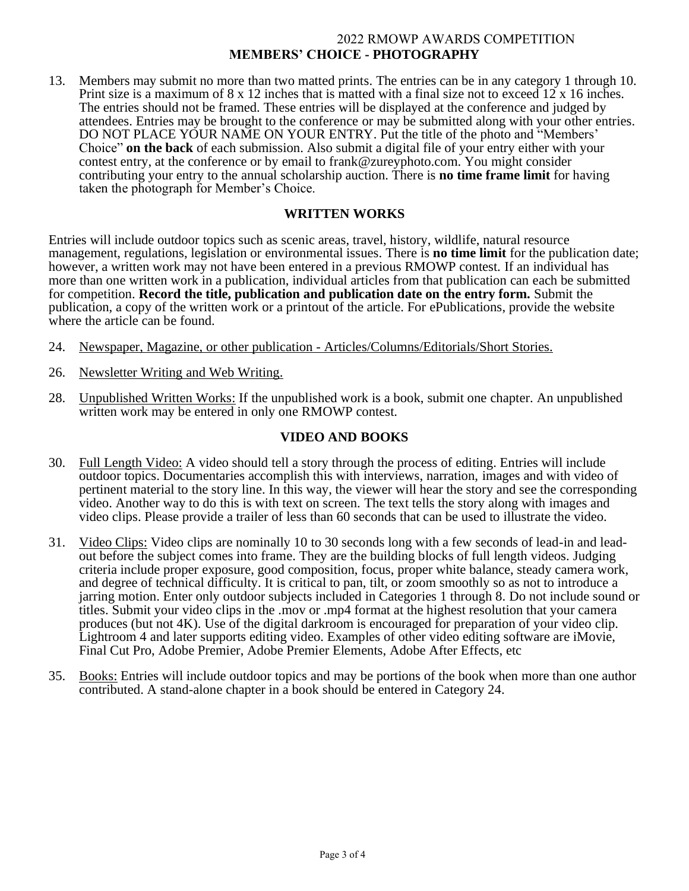# 2022 RMOWP AWARDS COMPETITION **MEMBERS' CHOICE - PHOTOGRAPHY**

13. Members may submit no more than two matted prints. The entries can be in any category 1 through 10. Print size is a maximum of 8 x 12 inches that is matted with a final size not to exceed 12 x 16 inches. The entries should not be framed. These entries will be displayed at the conference and judged by attendees. Entries may be brought to the conference or may be submitted along with your other entries. DO NOT PLACE YOUR NAME ON YOUR ENTRY. Put the title of the photo and "Members' Choice" **on the back** of each submission. Also submit a digital file of your entry either with your contest entry, at the conference or by email to frank@zureyphoto.com. You might consider contributing your entry to the annual scholarship auction. There is **no time frame limit** for having taken the photograph for Member's Choice.

# **WRITTEN WORKS**

Entries will include outdoor topics such as scenic areas, travel, history, wildlife, natural resource management, regulations, legislation or environmental issues. There is **no time limit** for the publication date; however, a written work may not have been entered in a previous RMOWP contest. If an individual has more than one written work in a publication, individual articles from that publication can each be submitted for competition. **Record the title, publication and publication date on the entry form.** Submit the publication, a copy of the written work or a printout of the article. For ePublications, provide the website where the article can be found.

- 24. Newspaper, Magazine, or other publication Articles/Columns/Editorials/Short Stories.
- 26. Newsletter Writing and Web Writing.
- 28. Unpublished Written Works: If the unpublished work is a book, submit one chapter. An unpublished written work may be entered in only one RMOWP contest.

## **VIDEO AND BOOKS**

- 30. Full Length Video: A video should tell a story through the process of editing. Entries will include outdoor topics. Documentaries accomplish this with interviews, narration, images and with video of pertinent material to the story line. In this way, the viewer will hear the story and see the corresponding video. Another way to do this is with text on screen. The text tells the story along with images and video clips. Please provide a trailer of less than 60 seconds that can be used to illustrate the video.
- 31. Video Clips: Video clips are nominally 10 to 30 seconds long with a few seconds of lead-in and leadout before the subject comes into frame. They are the building blocks of full length videos. Judging criteria include proper exposure, good composition, focus, proper white balance, steady camera work, and degree of technical difficulty. It is critical to pan, tilt, or zoom smoothly so as not to introduce a jarring motion. Enter only outdoor subjects included in Categories 1 through 8. Do not include sound or titles. Submit your video clips in the .mov or .mp4 format at the highest resolution that your camera produces (but not 4K). Use of the digital darkroom is encouraged for preparation of your video clip. Lightroom 4 and later supports editing video. Examples of other video editing software are iMovie, Final Cut Pro, Adobe Premier, Adobe Premier Elements, Adobe After Effects, etc
- 35. Books: Entries will include outdoor topics and may be portions of the book when more than one author contributed. A stand-alone chapter in a book should be entered in Category 24.